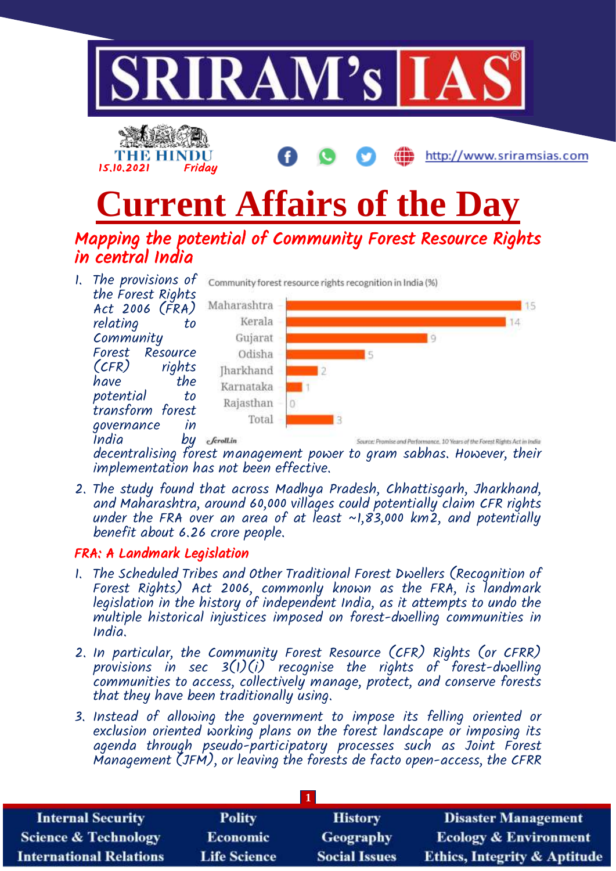

decentralising forest management power to gram sabhas. However, their implementation has not been effective.

2. The study found that across Madhya Pradesh, Chhattisgarh, Jharkhand, and Maharashtra, around 60,000 villages could potentially claim CFR rights under the FRA over an area of at least ~1,83,000 km2, and potentially benefit about 6.26 crore people.

### FRA: A Landmark Legislation

- 1. The Scheduled Tribes and Other Traditional Forest Dwellers (Recognition of Forest Rights) Act 2006, commonly known as the FRA, is landmark legislation in the history of independent India, as it attempts to undo the multiple historical injustices imposed on forest-dwelling communities in India.
- 2. In particular, the Community Forest Resource (CFR) Rights (or CFRR) provisions in sec  $3(1)(i)$  recognise the rights of forest-dwelling communities to access, collectively manage, protect, and conserve forests that they have been traditionally using.
- 3. Instead of allowing the government to impose its felling oriented or exclusion oriented working plans on the forest landscape or imposing its agenda through pseudo-participatory processes such as Joint Forest Management (JFM), or leaving the forests de facto open-access, the CFRR

| <b>Internal Security</b>        | <b>Polity</b>       | <b>History</b>       | <b>Disaster Management</b>              |
|---------------------------------|---------------------|----------------------|-----------------------------------------|
| <b>Science &amp; Technology</b> | <b>Economic</b>     | Geography            | <b>Ecology &amp; Environment</b>        |
| <b>International Relations</b>  | <b>Life Science</b> | <b>Social Issues</b> | <b>Ethics, Integrity &amp; Aptitude</b> |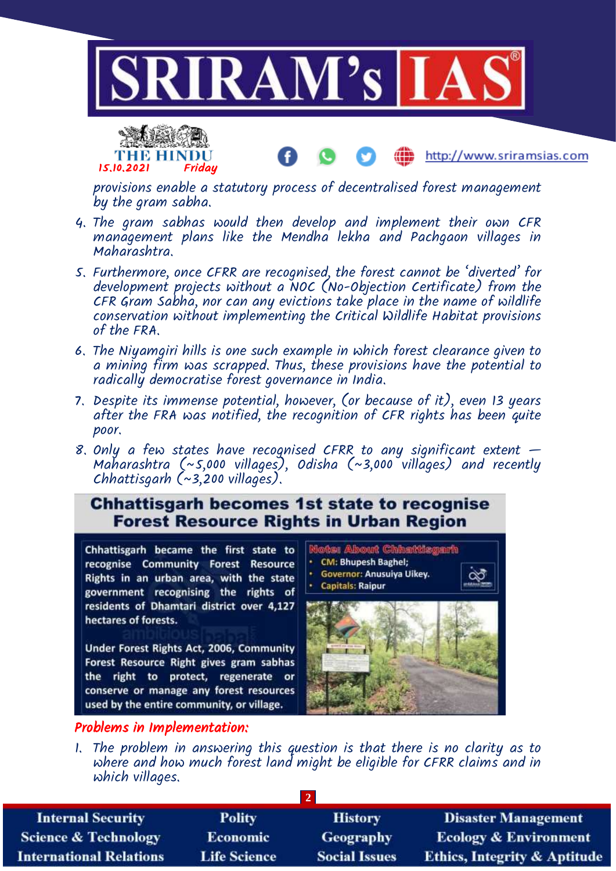



http://www.sriramsias.com

provisions enable a statutory process of decentralised forest management by the gram sabha.

- 4. The gram sabhas would then develop and implement their own CFR management plans like the Mendha lekha and Pachgaon villages in Maharashtra.
- 5. Furthermore, once CFRR are recognised, the forest cannot be 'diverted' for development projects without a NOC (No-Objection Certificate) from the CFR Gram Sabha, nor can any evictions take place in the name of wildlife conservation without implementing the Critical Wildlife Habitat provisions of the FRA.
- 6. The Niyamgiri hills is one such example in which forest clearance given to a mining firm was scrapped. Thus, these provisions have the potential to radically democratise forest governance in India.
- 7. Despite its immense potential, however, (or because of it), even 13 years after the FRA was notified, the recognition of CFR rights has been quite poor.
- 8. Only a few states have recognised CFRR to any significant extent  $-$ Maharashtra (~5,000 villages), Odisha (~3,000 villages) and recently Chhattisgarh (~3,200 villages).

**Chhattisgarh becomes 1st state to recognise Forest Resource Rights in Urban Region** 

Chhattisgarh became the first state to recognise Community Forest Resource Rights in an urban area, with the state government recognising the rights of residents of Dhamtari district over 4,127 hectares of forests.

Under Forest Rights Act, 2006, Community Forest Resource Right gives gram sabhas the right to protect, regenerate or conserve or manage any forest resources used by the entire community, or village.



**Note: About Chhattisgarh** 

#### Problems in Implementation:

1. The problem in answering this question is that there is no clarity as to where and how much forest land might be eligible for CFRR claims and in which villages.

| <b>Internal Security</b>        | <b>Polity</b>       | <b>History</b>       | <b>Disaster Management</b>              |
|---------------------------------|---------------------|----------------------|-----------------------------------------|
| <b>Science &amp; Technology</b> | <b>Economic</b>     | <b>Geography</b>     | <b>Ecology &amp; Environment</b>        |
| <b>International Relations</b>  | <b>Life Science</b> | <b>Social Issues</b> | <b>Ethics, Integrity &amp; Aptitude</b> |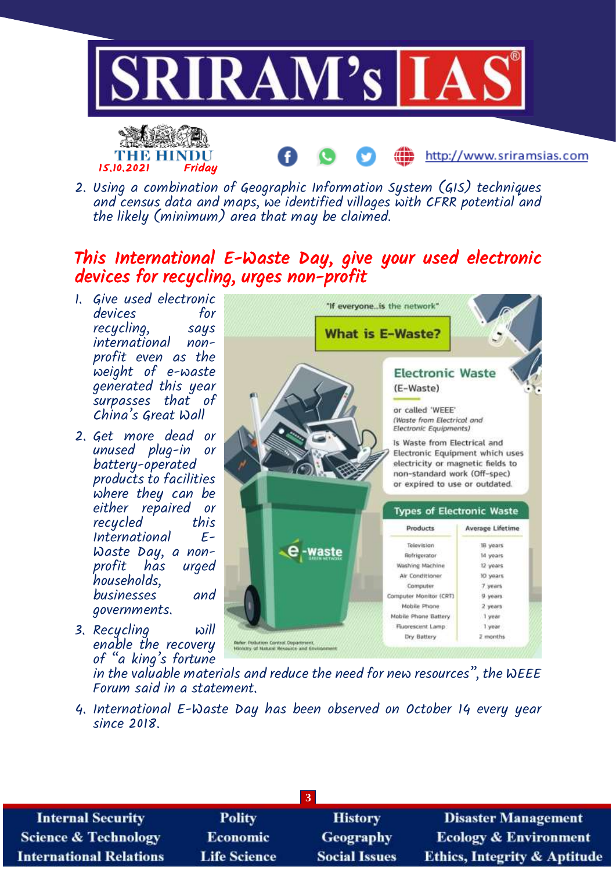

2. Using a combination of Geographic Information System (GIS) techniques and census data and maps, we identified villages with CFRR potential and the likely (minimum) area that may be claimed.

## This International E-Waste Day, give your used electronic devices for recycling, urges non-profit

1. Give used electronic devices for recycling, says international nonprofit even as the weight of e-waste generated this year surpasses that of China's Great Wall

15.10.2021 Friday

THE HINDU

- 2. Get more dead or unused plug-in or battery-operated products to facilities where they can be either repaired or recycled this<br>International E-*International* Waste Day, a nonprofit has urged households, businesses and governments.
- 3. Recycling will enable the recovery of "a king's fortune



http://www.sriramsias.com

in the valuable materials and reduce the need for new resources", the WEEE Forum said in a statement.

4. International E-Waste Day has been observed on October 14 every year since 2018.

| <b>Internal Security</b>        | <b>Polity</b>       | <b>History</b>       | <b>Disaster Management</b>              |
|---------------------------------|---------------------|----------------------|-----------------------------------------|
| <b>Science &amp; Technology</b> | <b>Economic</b>     | <b>Geography</b>     | <b>Ecology &amp; Environment</b>        |
| <b>International Relations</b>  | <b>Life Science</b> | <b>Social Issues</b> | <b>Ethics, Integrity &amp; Aptitude</b> |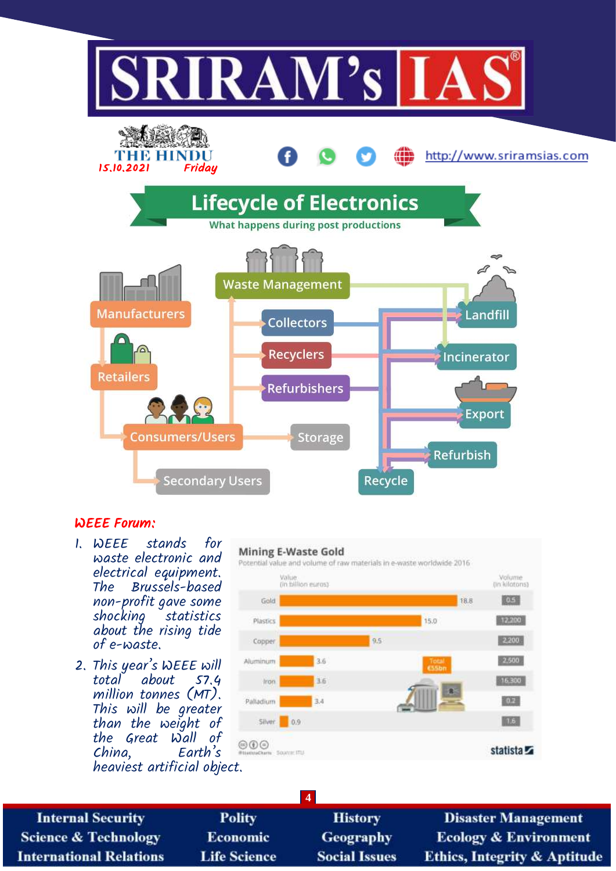

#### WEEE Forum:

- 1. WEEE stands for waste electronic and electrical equipment. Brussels-based non-profit gave some statistics about the rising tide of e-waste.
- 2. This year's WEEE will<br>total about 57.4 about million tonnes (MT). This will be greater than the weight of the Great Wall of Earth's heaviest artificial object.



**Internal Security Science & Technology International Relations** 

**Polity** Economic **Life Science** 

**History Geography Social Issues** 

**4**

**Disaster Management Ecology & Environment Ethics, Integrity & Aptitude**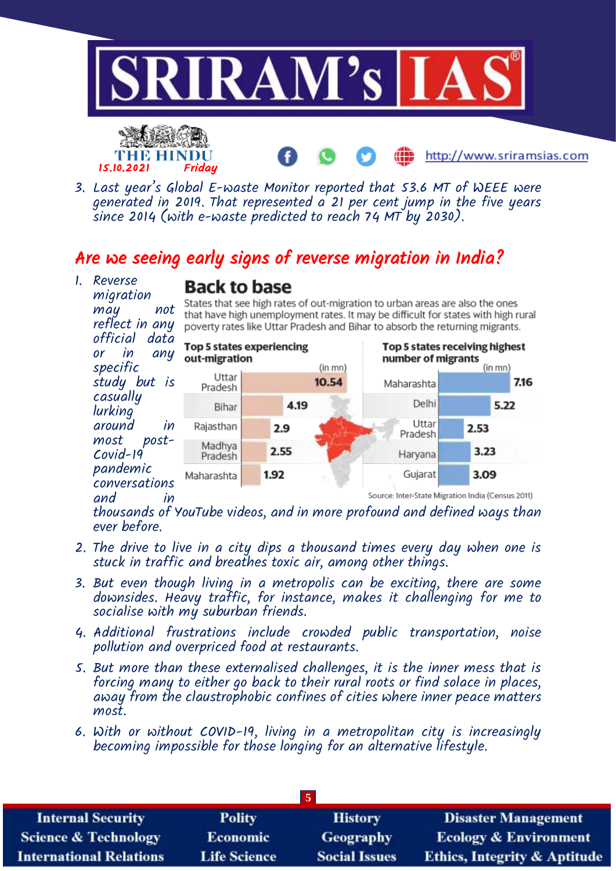



3. Last year's Global E-waste Monitor reported that 53.6 MT of WEEE were generated in 2019. That represented a 21 per cent jump in the five years since 2014 (with e-waste predicted to reach 74 MT by 2030).

## Are we seeing early signs of reverse migration in India?

1. Reverse migration may not reflect in any official data or in any specific study but is casually lurking around in most post-Covid-19 pandemic conversations and in



States that see high rates of out-migration to urban areas are also the ones that have high unemployment rates. It may be difficult for states with high rural poverty rates like Uttar Pradesh and Bihar to absorb the returning migrants.

http://www.sriramsias.com



thousands of YouTube videos, and in more profound and defined ways than ever before.

- 2. The drive to live in a city dips a thousand times every day when one is stuck in traffic and breathes toxic air, among other things.
- 3. But even though living in a metropolis can be exciting, there are some downsides. Heavy traffic, for instance, makes it challenging for me to socialise with my suburban friends.
- 4. Additional frustrations include crowded public transportation, noise pollution and overpriced food at restaurants.
- 5. But more than these externalised challenges, it is the inner mess that is forcing many to either go back to their rural roots or find solace in places, away from the claustrophobic confines of cities where inner peace matters most.
- 6. With or without COVID-19, living in a metropolitan city is increasingly becoming impossible for those longing for an alternative lifestyle.

| <b>Internal Security</b>        | <b>Polity</b>       | <b>History</b>       | <b>Disaster Management</b>              |
|---------------------------------|---------------------|----------------------|-----------------------------------------|
| <b>Science &amp; Technology</b> | <b>Economic</b>     | Geography            | <b>Ecology &amp; Environment</b>        |
| <b>International Relations</b>  | <b>Life Science</b> | <b>Social Issues</b> | <b>Ethics, Integrity &amp; Aptitude</b> |